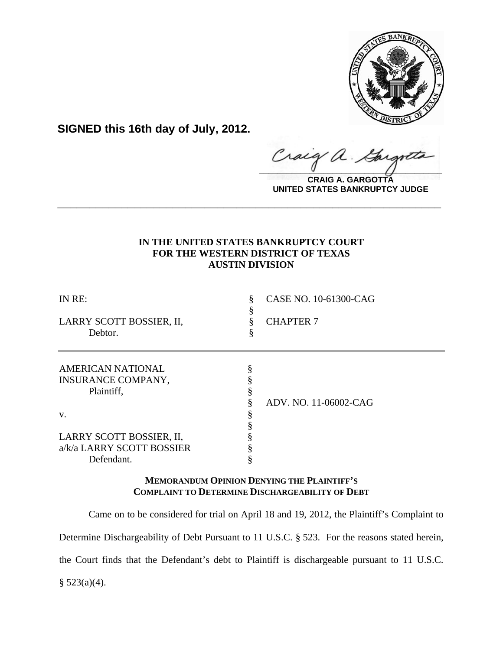

**SIGNED this 16th day of July, 2012.**

 $\hat{\mathcal{A}}$  . Craig  $\frac{1}{2}$ 

**CRAIG A. GARGOTTA UNITED STATES BANKRUPTCY JUDGE**

# **IN THE UNITED STATES BANKRUPTCY COURT FOR THE WESTERN DISTRICT OF TEXAS AUSTIN DIVISION**

**\_\_\_\_\_\_\_\_\_\_\_\_\_\_\_\_\_\_\_\_\_\_\_\_\_\_\_\_\_\_\_\_\_\_\_\_\_\_\_\_\_\_\_\_\_\_\_\_\_\_\_\_\_\_\_\_\_\_\_\_**

| IN RE:                                                              | CASE NO. 10-61300-CAG |
|---------------------------------------------------------------------|-----------------------|
| LARRY SCOTT BOSSIER, II,<br>Debtor.                                 | <b>CHAPTER 7</b>      |
| <b>AMERICAN NATIONAL</b><br><b>INSURANCE COMPANY,</b><br>Plaintiff, |                       |
|                                                                     | ADV. NO. 11-06002-CAG |
| V.                                                                  |                       |
| LARRY SCOTT BOSSIER, II,                                            |                       |
| a/k/a LARRY SCOTT BOSSIER                                           |                       |
| Defendant.                                                          |                       |

## **MEMORANDUM OPINION DENYING THE PLAINTIFF'S COMPLAINT TO DETERMINE DISCHARGEABILITY OF DEBT**

Came on to be considered for trial on April 18 and 19, 2012, the Plaintiff's Complaint to Determine Dischargeability of Debt Pursuant to 11 U.S.C. § 523. For the reasons stated herein, the Court finds that the Defendant's debt to Plaintiff is dischargeable pursuant to 11 U.S.C.  $§$  523(a)(4).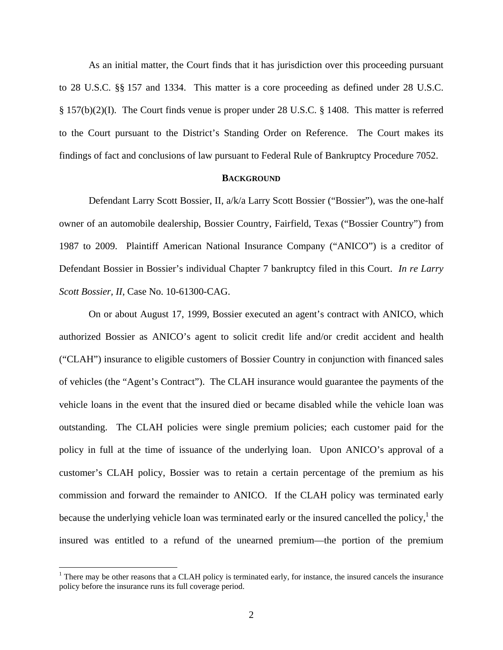As an initial matter, the Court finds that it has jurisdiction over this proceeding pursuant to 28 U.S.C. §§ 157 and 1334. This matter is a core proceeding as defined under 28 U.S.C. § 157(b)(2)(I). The Court finds venue is proper under 28 U.S.C. § 1408. This matter is referred to the Court pursuant to the District's Standing Order on Reference. The Court makes its findings of fact and conclusions of law pursuant to Federal Rule of Bankruptcy Procedure 7052.

### **BACKGROUND**

Defendant Larry Scott Bossier, II, a/k/a Larry Scott Bossier ("Bossier"), was the one-half owner of an automobile dealership, Bossier Country, Fairfield, Texas ("Bossier Country") from 1987 to 2009. Plaintiff American National Insurance Company ("ANICO") is a creditor of Defendant Bossier in Bossier's individual Chapter 7 bankruptcy filed in this Court. *In re Larry Scott Bossier, II*, Case No. 10-61300-CAG.

On or about August 17, 1999, Bossier executed an agent's contract with ANICO, which authorized Bossier as ANICO's agent to solicit credit life and/or credit accident and health ("CLAH") insurance to eligible customers of Bossier Country in conjunction with financed sales of vehicles (the "Agent's Contract"). The CLAH insurance would guarantee the payments of the vehicle loans in the event that the insured died or became disabled while the vehicle loan was outstanding. The CLAH policies were single premium policies; each customer paid for the policy in full at the time of issuance of the underlying loan. Upon ANICO's approval of a customer's CLAH policy, Bossier was to retain a certain percentage of the premium as his commission and forward the remainder to ANICO. If the CLAH policy was terminated early because the underlying vehicle loan was terminated early or the insured cancelled the policy, $<sup>1</sup>$  the</sup> insured was entitled to a refund of the unearned premium—the portion of the premium

1

 $1$  There may be other reasons that a CLAH policy is terminated early, for instance, the insured cancels the insurance policy before the insurance runs its full coverage period.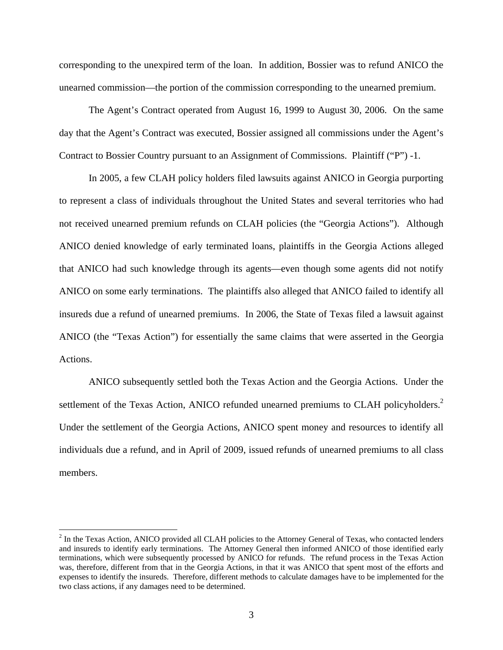corresponding to the unexpired term of the loan. In addition, Bossier was to refund ANICO the unearned commission—the portion of the commission corresponding to the unearned premium.

The Agent's Contract operated from August 16, 1999 to August 30, 2006. On the same day that the Agent's Contract was executed, Bossier assigned all commissions under the Agent's Contract to Bossier Country pursuant to an Assignment of Commissions. Plaintiff ("P") -1.

In 2005, a few CLAH policy holders filed lawsuits against ANICO in Georgia purporting to represent a class of individuals throughout the United States and several territories who had not received unearned premium refunds on CLAH policies (the "Georgia Actions"). Although ANICO denied knowledge of early terminated loans, plaintiffs in the Georgia Actions alleged that ANICO had such knowledge through its agents—even though some agents did not notify ANICO on some early terminations. The plaintiffs also alleged that ANICO failed to identify all insureds due a refund of unearned premiums. In 2006, the State of Texas filed a lawsuit against ANICO (the "Texas Action") for essentially the same claims that were asserted in the Georgia Actions.

ANICO subsequently settled both the Texas Action and the Georgia Actions. Under the settlement of the Texas Action, ANICO refunded unearned premiums to CLAH policyholders.<sup>2</sup> Under the settlement of the Georgia Actions, ANICO spent money and resources to identify all individuals due a refund, and in April of 2009, issued refunds of unearned premiums to all class members.

1

 $2^2$  In the Texas Action, ANICO provided all CLAH policies to the Attorney General of Texas, who contacted lenders and insureds to identify early terminations. The Attorney General then informed ANICO of those identified early terminations, which were subsequently processed by ANICO for refunds. The refund process in the Texas Action was, therefore, different from that in the Georgia Actions, in that it was ANICO that spent most of the efforts and expenses to identify the insureds. Therefore, different methods to calculate damages have to be implemented for the two class actions, if any damages need to be determined.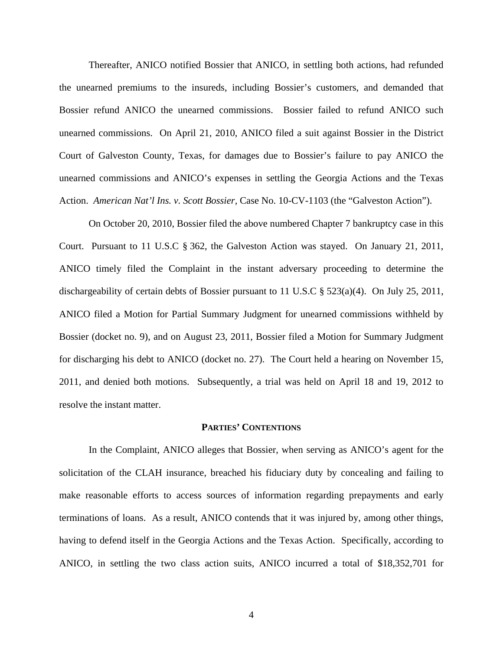Thereafter, ANICO notified Bossier that ANICO, in settling both actions, had refunded the unearned premiums to the insureds, including Bossier's customers, and demanded that Bossier refund ANICO the unearned commissions. Bossier failed to refund ANICO such unearned commissions. On April 21, 2010, ANICO filed a suit against Bossier in the District Court of Galveston County, Texas, for damages due to Bossier's failure to pay ANICO the unearned commissions and ANICO's expenses in settling the Georgia Actions and the Texas Action. *American Nat'l Ins. v. Scott Bossier,* Case No. 10-CV-1103 (the "Galveston Action").

On October 20, 2010, Bossier filed the above numbered Chapter 7 bankruptcy case in this Court. Pursuant to 11 U.S.C § 362, the Galveston Action was stayed. On January 21, 2011, ANICO timely filed the Complaint in the instant adversary proceeding to determine the dischargeability of certain debts of Bossier pursuant to 11 U.S.C § 523(a)(4). On July 25, 2011, ANICO filed a Motion for Partial Summary Judgment for unearned commissions withheld by Bossier (docket no. 9), and on August 23, 2011, Bossier filed a Motion for Summary Judgment for discharging his debt to ANICO (docket no. 27). The Court held a hearing on November 15, 2011, and denied both motions. Subsequently, a trial was held on April 18 and 19, 2012 to resolve the instant matter.

#### **PARTIES' CONTENTIONS**

In the Complaint, ANICO alleges that Bossier, when serving as ANICO's agent for the solicitation of the CLAH insurance, breached his fiduciary duty by concealing and failing to make reasonable efforts to access sources of information regarding prepayments and early terminations of loans. As a result, ANICO contends that it was injured by, among other things, having to defend itself in the Georgia Actions and the Texas Action. Specifically, according to ANICO, in settling the two class action suits, ANICO incurred a total of \$18,352,701 for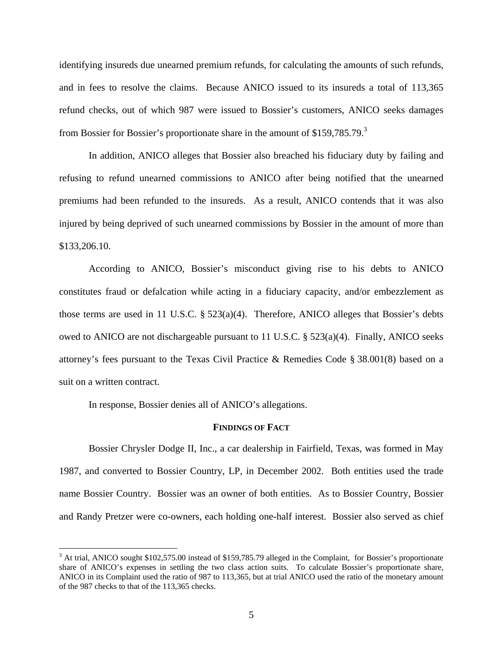identifying insureds due unearned premium refunds, for calculating the amounts of such refunds, and in fees to resolve the claims. Because ANICO issued to its insureds a total of 113,365 refund checks, out of which 987 were issued to Bossier's customers, ANICO seeks damages from Bossier for Bossier's proportionate share in the amount of  $$159,785.79$ <sup>3</sup>

In addition, ANICO alleges that Bossier also breached his fiduciary duty by failing and refusing to refund unearned commissions to ANICO after being notified that the unearned premiums had been refunded to the insureds. As a result, ANICO contends that it was also injured by being deprived of such unearned commissions by Bossier in the amount of more than \$133,206.10.

According to ANICO, Bossier's misconduct giving rise to his debts to ANICO constitutes fraud or defalcation while acting in a fiduciary capacity, and/or embezzlement as those terms are used in 11 U.S.C. § 523(a)(4). Therefore, ANICO alleges that Bossier's debts owed to ANICO are not dischargeable pursuant to 11 U.S.C. § 523(a)(4). Finally, ANICO seeks attorney's fees pursuant to the Texas Civil Practice & Remedies Code § 38.001(8) based on a suit on a written contract.

In response, Bossier denies all of ANICO's allegations.

 $\overline{a}$ 

### **FINDINGS OF FACT**

Bossier Chrysler Dodge II, Inc., a car dealership in Fairfield, Texas, was formed in May 1987, and converted to Bossier Country, LP, in December 2002. Both entities used the trade name Bossier Country. Bossier was an owner of both entities. As to Bossier Country, Bossier and Randy Pretzer were co-owners, each holding one-half interest. Bossier also served as chief

<sup>&</sup>lt;sup>3</sup> At trial, ANICO sought \$102,575.00 instead of \$159,785.79 alleged in the Complaint, for Bossier's proportionate share of ANICO's expenses in settling the two class action suits. To calculate Bossier's proportionate share, ANICO in its Complaint used the ratio of 987 to 113,365, but at trial ANICO used the ratio of the monetary amount of the 987 checks to that of the 113,365 checks.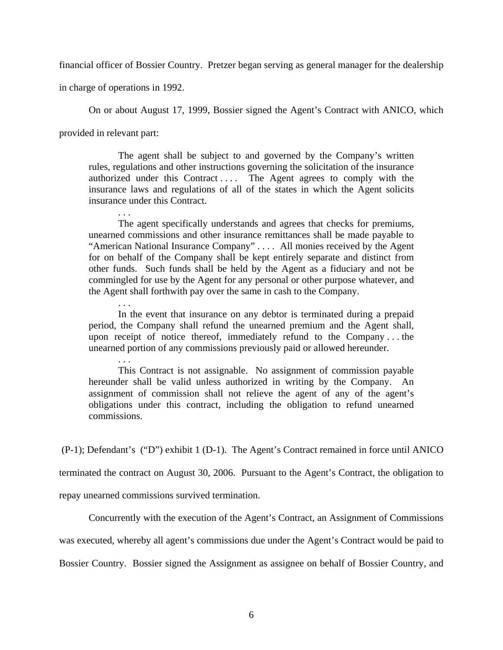financial officer of Bossier Country. Pretzer began serving as general manager for the dealership

in charge of operations in 1992.

. . .

. . .

. . .

On or about August 17, 1999, Bossier signed the Agent's Contract with ANICO, which

provided in relevant part:

The agent shall be subject to and governed by the Company's written rules, regulations and other instructions governing the solicitation of the insurance authorized under this Contract .... The Agent agrees to comply with the insurance laws and regulations of all of the states in which the Agent solicits insurance under this Contract.

The agent specifically understands and agrees that checks for premiums, unearned commissions and other insurance remittances shall be made payable to "American National Insurance Company" . . . . All monies received by the Agent for on behalf of the Company shall be kept entirely separate and distinct from other funds. Such funds shall be held by the Agent as a fiduciary and not be commingled for use by the Agent for any personal or other purpose whatever, and the Agent shall forthwith pay over the same in cash to the Company.

In the event that insurance on any debtor is terminated during a prepaid period, the Company shall refund the unearned premium and the Agent shall, upon receipt of notice thereof, immediately refund to the Company . . . the unearned portion of any commissions previously paid or allowed hereunder.

This Contract is not assignable. No assignment of commission payable hereunder shall be valid unless authorized in writing by the Company. An assignment of commission shall not relieve the agent of any of the agent's obligations under this contract, including the obligation to refund unearned commissions.

(P-1); Defendant's ("D") exhibit 1 (D-1). The Agent's Contract remained in force until ANICO

terminated the contract on August 30, 2006. Pursuant to the Agent's Contract, the obligation to

repay unearned commissions survived termination.

Concurrently with the execution of the Agent's Contract, an Assignment of Commissions

was executed, whereby all agent's commissions due under the Agent's Contract would be paid to

Bossier Country. Bossier signed the Assignment as assignee on behalf of Bossier Country, and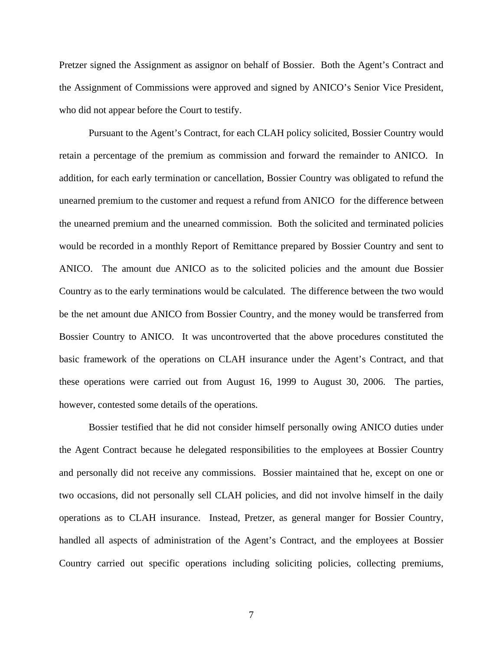Pretzer signed the Assignment as assignor on behalf of Bossier. Both the Agent's Contract and the Assignment of Commissions were approved and signed by ANICO's Senior Vice President, who did not appear before the Court to testify.

Pursuant to the Agent's Contract, for each CLAH policy solicited, Bossier Country would retain a percentage of the premium as commission and forward the remainder to ANICO. In addition, for each early termination or cancellation, Bossier Country was obligated to refund the unearned premium to the customer and request a refund from ANICO for the difference between the unearned premium and the unearned commission. Both the solicited and terminated policies would be recorded in a monthly Report of Remittance prepared by Bossier Country and sent to ANICO. The amount due ANICO as to the solicited policies and the amount due Bossier Country as to the early terminations would be calculated. The difference between the two would be the net amount due ANICO from Bossier Country, and the money would be transferred from Bossier Country to ANICO. It was uncontroverted that the above procedures constituted the basic framework of the operations on CLAH insurance under the Agent's Contract, and that these operations were carried out from August 16, 1999 to August 30, 2006. The parties, however, contested some details of the operations.

Bossier testified that he did not consider himself personally owing ANICO duties under the Agent Contract because he delegated responsibilities to the employees at Bossier Country and personally did not receive any commissions. Bossier maintained that he, except on one or two occasions, did not personally sell CLAH policies, and did not involve himself in the daily operations as to CLAH insurance. Instead, Pretzer, as general manger for Bossier Country, handled all aspects of administration of the Agent's Contract, and the employees at Bossier Country carried out specific operations including soliciting policies, collecting premiums,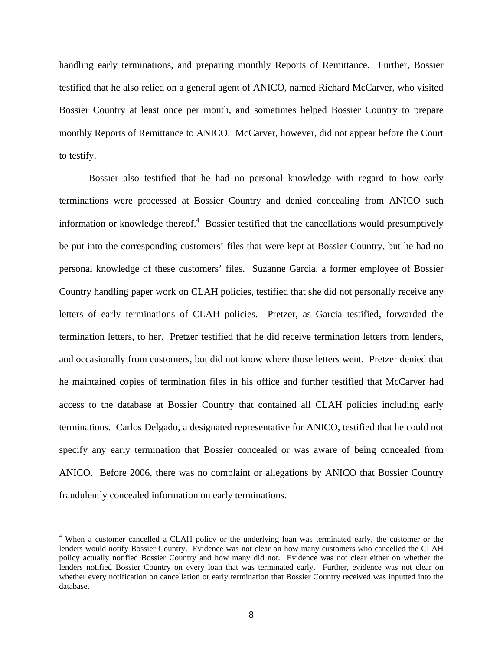handling early terminations, and preparing monthly Reports of Remittance. Further, Bossier testified that he also relied on a general agent of ANICO, named Richard McCarver, who visited Bossier Country at least once per month, and sometimes helped Bossier Country to prepare monthly Reports of Remittance to ANICO. McCarver, however, did not appear before the Court to testify.

Bossier also testified that he had no personal knowledge with regard to how early terminations were processed at Bossier Country and denied concealing from ANICO such information or knowledge thereof. $4$  Bossier testified that the cancellations would presumptively be put into the corresponding customers' files that were kept at Bossier Country, but he had no personal knowledge of these customers' files. Suzanne Garcia, a former employee of Bossier Country handling paper work on CLAH policies, testified that she did not personally receive any letters of early terminations of CLAH policies. Pretzer, as Garcia testified, forwarded the termination letters, to her. Pretzer testified that he did receive termination letters from lenders, and occasionally from customers, but did not know where those letters went. Pretzer denied that he maintained copies of termination files in his office and further testified that McCarver had access to the database at Bossier Country that contained all CLAH policies including early terminations. Carlos Delgado, a designated representative for ANICO, testified that he could not specify any early termination that Bossier concealed or was aware of being concealed from ANICO. Before 2006, there was no complaint or allegations by ANICO that Bossier Country fraudulently concealed information on early terminations.

 $\overline{a}$ 

<sup>&</sup>lt;sup>4</sup> When a customer cancelled a CLAH policy or the underlying loan was terminated early, the customer or the lenders would notify Bossier Country. Evidence was not clear on how many customers who cancelled the CLAH policy actually notified Bossier Country and how many did not. Evidence was not clear either on whether the lenders notified Bossier Country on every loan that was terminated early. Further, evidence was not clear on whether every notification on cancellation or early termination that Bossier Country received was inputted into the database.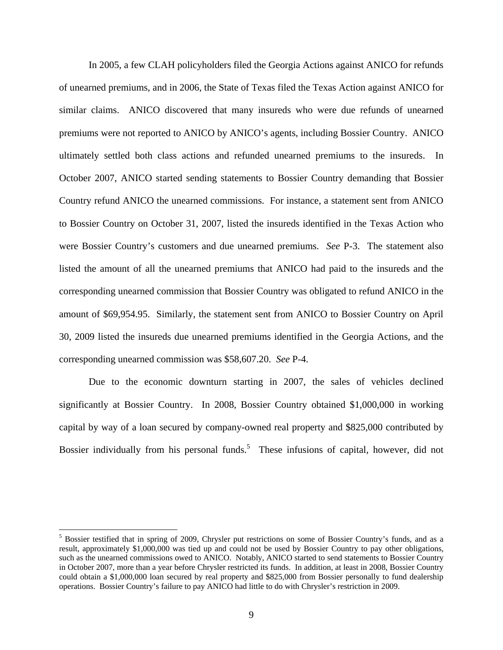In 2005, a few CLAH policyholders filed the Georgia Actions against ANICO for refunds of unearned premiums, and in 2006, the State of Texas filed the Texas Action against ANICO for similar claims. ANICO discovered that many insureds who were due refunds of unearned premiums were not reported to ANICO by ANICO's agents, including Bossier Country. ANICO ultimately settled both class actions and refunded unearned premiums to the insureds. In October 2007, ANICO started sending statements to Bossier Country demanding that Bossier Country refund ANICO the unearned commissions. For instance, a statement sent from ANICO to Bossier Country on October 31, 2007, listed the insureds identified in the Texas Action who were Bossier Country's customers and due unearned premiums. *See* P-3. The statement also listed the amount of all the unearned premiums that ANICO had paid to the insureds and the corresponding unearned commission that Bossier Country was obligated to refund ANICO in the amount of \$69,954.95. Similarly, the statement sent from ANICO to Bossier Country on April 30, 2009 listed the insureds due unearned premiums identified in the Georgia Actions, and the corresponding unearned commission was \$58,607.20. *See* P-4.

Due to the economic downturn starting in 2007, the sales of vehicles declined significantly at Bossier Country. In 2008, Bossier Country obtained \$1,000,000 in working capital by way of a loan secured by company-owned real property and \$825,000 contributed by Bossier individually from his personal funds.<sup>5</sup> These infusions of capital, however, did not

 $\overline{a}$ 

<sup>&</sup>lt;sup>5</sup> Bossier testified that in spring of 2009, Chrysler put restrictions on some of Bossier Country's funds, and as a result, approximately \$1,000,000 was tied up and could not be used by Bossier Country to pay other obligations, such as the unearned commissions owed to ANICO. Notably, ANICO started to send statements to Bossier Country in October 2007, more than a year before Chrysler restricted its funds. In addition, at least in 2008, Bossier Country could obtain a \$1,000,000 loan secured by real property and \$825,000 from Bossier personally to fund dealership operations. Bossier Country's failure to pay ANICO had little to do with Chrysler's restriction in 2009.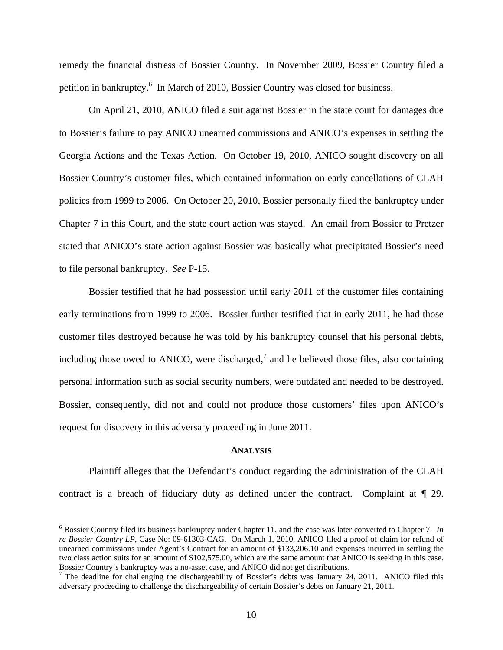remedy the financial distress of Bossier Country. In November 2009, Bossier Country filed a petition in bankruptcy.<sup>6</sup> In March of 2010, Bossier Country was closed for business.

On April 21, 2010, ANICO filed a suit against Bossier in the state court for damages due to Bossier's failure to pay ANICO unearned commissions and ANICO's expenses in settling the Georgia Actions and the Texas Action. On October 19, 2010, ANICO sought discovery on all Bossier Country's customer files, which contained information on early cancellations of CLAH policies from 1999 to 2006. On October 20, 2010, Bossier personally filed the bankruptcy under Chapter 7 in this Court, and the state court action was stayed. An email from Bossier to Pretzer stated that ANICO's state action against Bossier was basically what precipitated Bossier's need to file personal bankruptcy. *See* P-15.

Bossier testified that he had possession until early 2011 of the customer files containing early terminations from 1999 to 2006. Bossier further testified that in early 2011, he had those customer files destroyed because he was told by his bankruptcy counsel that his personal debts, including those owed to ANICO, were discharged, $\frac{7}{1}$  and he believed those files, also containing personal information such as social security numbers, were outdated and needed to be destroyed. Bossier, consequently, did not and could not produce those customers' files upon ANICO's request for discovery in this adversary proceeding in June 2011.

## **ANALYSIS**

Plaintiff alleges that the Defendant's conduct regarding the administration of the CLAH contract is a breach of fiduciary duty as defined under the contract. Complaint at ¶ 29.

 $\overline{a}$ 

<sup>6</sup> Bossier Country filed its business bankruptcy under Chapter 11, and the case was later converted to Chapter 7. *In re Bossier Country LP*, Case No: 09-61303-CAG. On March 1, 2010, ANICO filed a proof of claim for refund of unearned commissions under Agent's Contract for an amount of \$133,206.10 and expenses incurred in settling the two class action suits for an amount of \$102,575.00, which are the same amount that ANICO is seeking in this case. Bossier Country's bankruptcy was a no-asset case, and ANICO did not get distributions.

<sup>&</sup>lt;sup>7</sup> The deadline for challenging the dischargeability of Bossier's debts was January 24, 2011. ANICO filed this adversary proceeding to challenge the dischargeability of certain Bossier's debts on January 21, 2011.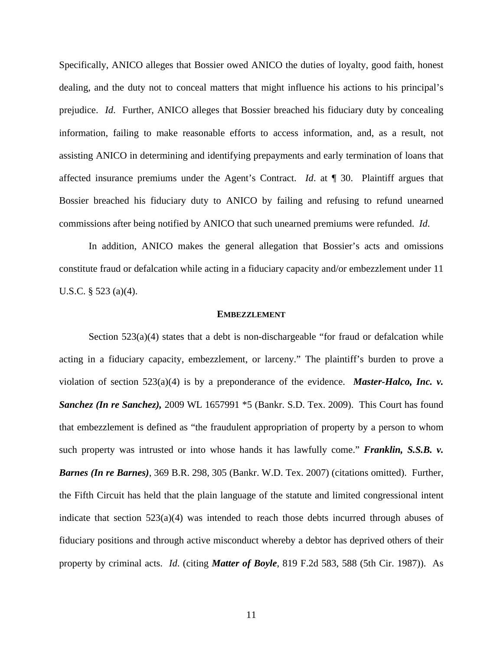Specifically, ANICO alleges that Bossier owed ANICO the duties of loyalty, good faith, honest dealing, and the duty not to conceal matters that might influence his actions to his principal's prejudice. *Id*. Further, ANICO alleges that Bossier breached his fiduciary duty by concealing information, failing to make reasonable efforts to access information, and, as a result, not assisting ANICO in determining and identifying prepayments and early termination of loans that affected insurance premiums under the Agent's Contract. *Id*. at ¶ 30. Plaintiff argues that Bossier breached his fiduciary duty to ANICO by failing and refusing to refund unearned commissions after being notified by ANICO that such unearned premiums were refunded. *Id*.

In addition, ANICO makes the general allegation that Bossier's acts and omissions constitute fraud or defalcation while acting in a fiduciary capacity and/or embezzlement under 11 U.S.C. § 523 (a)(4).

#### **EMBEZZLEMENT**

Section  $523(a)(4)$  states that a debt is non-dischargeable "for fraud or defalcation while acting in a fiduciary capacity, embezzlement, or larceny." The plaintiff's burden to prove a violation of section 523(a)(4) is by a preponderance of the evidence. *Master-Halco, Inc. v. Sanchez (In re Sanchez),* 2009 WL 1657991 \*5 (Bankr. S.D. Tex. 2009). This Court has found that embezzlement is defined as "the fraudulent appropriation of property by a person to whom such property was intrusted or into whose hands it has lawfully come." **Franklin, S.S.B. v.** *Barnes (In re Barnes)*, 369 B.R. 298, 305 (Bankr. W.D. Tex. 2007) (citations omitted). Further, the Fifth Circuit has held that the plain language of the statute and limited congressional intent indicate that section  $523(a)(4)$  was intended to reach those debts incurred through abuses of fiduciary positions and through active misconduct whereby a debtor has deprived others of their property by criminal acts. *Id*. (citing *Matter of Boyle*, 819 F.2d 583, 588 (5th Cir. 1987)). As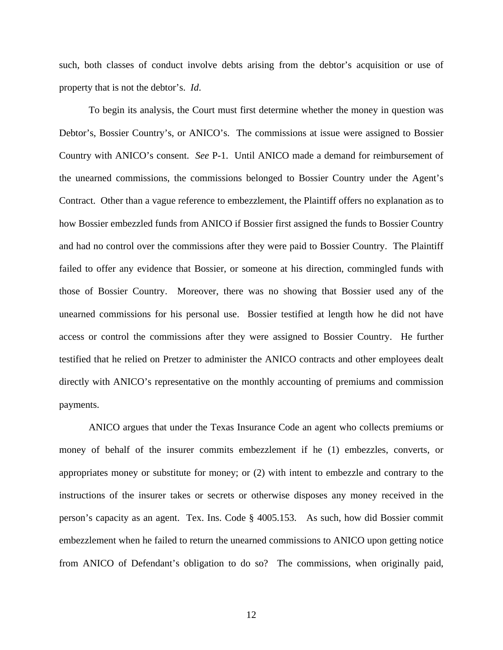such, both classes of conduct involve debts arising from the debtor's acquisition or use of property that is not the debtor's. *Id*.

To begin its analysis, the Court must first determine whether the money in question was Debtor's, Bossier Country's, or ANICO's. The commissions at issue were assigned to Bossier Country with ANICO's consent. *See* P-1. Until ANICO made a demand for reimbursement of the unearned commissions, the commissions belonged to Bossier Country under the Agent's Contract. Other than a vague reference to embezzlement, the Plaintiff offers no explanation as to how Bossier embezzled funds from ANICO if Bossier first assigned the funds to Bossier Country and had no control over the commissions after they were paid to Bossier Country. The Plaintiff failed to offer any evidence that Bossier, or someone at his direction, commingled funds with those of Bossier Country. Moreover, there was no showing that Bossier used any of the unearned commissions for his personal use. Bossier testified at length how he did not have access or control the commissions after they were assigned to Bossier Country. He further testified that he relied on Pretzer to administer the ANICO contracts and other employees dealt directly with ANICO's representative on the monthly accounting of premiums and commission payments.

ANICO argues that under the Texas Insurance Code an agent who collects premiums or money of behalf of the insurer commits embezzlement if he (1) embezzles, converts, or appropriates money or substitute for money; or (2) with intent to embezzle and contrary to the instructions of the insurer takes or secrets or otherwise disposes any money received in the person's capacity as an agent. Tex. Ins. Code § 4005.153. As such, how did Bossier commit embezzlement when he failed to return the unearned commissions to ANICO upon getting notice from ANICO of Defendant's obligation to do so? The commissions, when originally paid,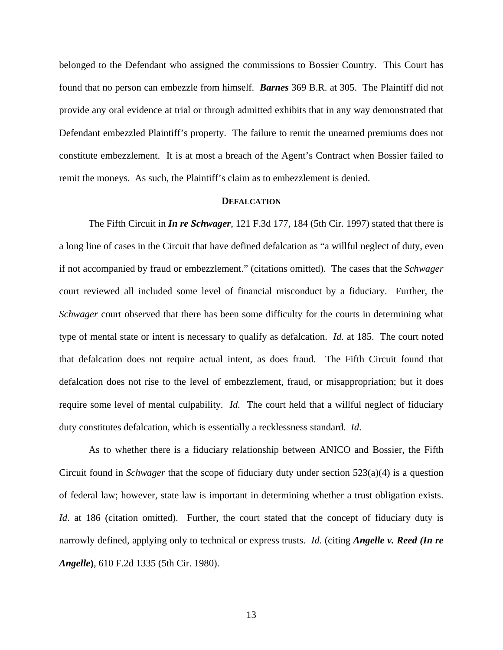belonged to the Defendant who assigned the commissions to Bossier Country. This Court has found that no person can embezzle from himself. *Barnes* 369 B.R. at 305. The Plaintiff did not provide any oral evidence at trial or through admitted exhibits that in any way demonstrated that Defendant embezzled Plaintiff's property. The failure to remit the unearned premiums does not constitute embezzlement. It is at most a breach of the Agent's Contract when Bossier failed to remit the moneys. As such, the Plaintiff's claim as to embezzlement is denied.

### **DEFALCATION**

The Fifth Circuit in *In re Schwager*, 121 F.3d 177, 184 (5th Cir. 1997) stated that there is a long line of cases in the Circuit that have defined defalcation as "a willful neglect of duty, even if not accompanied by fraud or embezzlement." (citations omitted). The cases that the *Schwager* court reviewed all included some level of financial misconduct by a fiduciary. Further, the *Schwager* court observed that there has been some difficulty for the courts in determining what type of mental state or intent is necessary to qualify as defalcation. *Id*. at 185. The court noted that defalcation does not require actual intent, as does fraud. The Fifth Circuit found that defalcation does not rise to the level of embezzlement, fraud, or misappropriation; but it does require some level of mental culpability. *Id.* The court held that a willful neglect of fiduciary duty constitutes defalcation, which is essentially a recklessness standard. *Id*.

As to whether there is a fiduciary relationship between ANICO and Bossier, the Fifth Circuit found in *Schwager* that the scope of fiduciary duty under section 523(a)(4) is a question of federal law; however, state law is important in determining whether a trust obligation exists. *Id.* at 186 (citation omitted). Further, the court stated that the concept of fiduciary duty is narrowly defined, applying only to technical or express trusts. *Id.* (citing *Angelle v. Reed (In re Angelle***)**, 610 F.2d 1335 (5th Cir. 1980).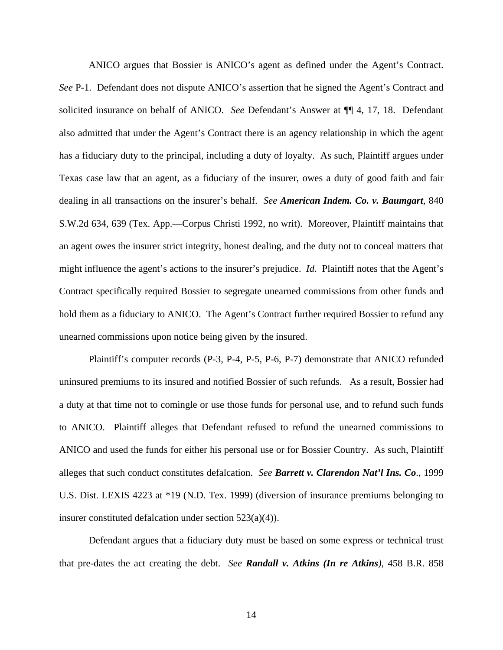ANICO argues that Bossier is ANICO's agent as defined under the Agent's Contract. *See* P-1. Defendant does not dispute ANICO's assertion that he signed the Agent's Contract and solicited insurance on behalf of ANICO. *See* Defendant's Answer at ¶¶ 4, 17, 18. Defendant also admitted that under the Agent's Contract there is an agency relationship in which the agent has a fiduciary duty to the principal, including a duty of loyalty. As such, Plaintiff argues under Texas case law that an agent, as a fiduciary of the insurer, owes a duty of good faith and fair dealing in all transactions on the insurer's behalf. *See American Indem. Co. v. Baumgart*, 840 S.W.2d 634, 639 (Tex. App.—Corpus Christi 1992, no writ). Moreover, Plaintiff maintains that an agent owes the insurer strict integrity, honest dealing, and the duty not to conceal matters that might influence the agent's actions to the insurer's prejudice. *Id*. Plaintiff notes that the Agent's Contract specifically required Bossier to segregate unearned commissions from other funds and hold them as a fiduciary to ANICO. The Agent's Contract further required Bossier to refund any unearned commissions upon notice being given by the insured.

Plaintiff's computer records (P-3, P-4, P-5, P-6, P-7) demonstrate that ANICO refunded uninsured premiums to its insured and notified Bossier of such refunds. As a result, Bossier had a duty at that time not to comingle or use those funds for personal use, and to refund such funds to ANICO. Plaintiff alleges that Defendant refused to refund the unearned commissions to ANICO and used the funds for either his personal use or for Bossier Country. As such, Plaintiff alleges that such conduct constitutes defalcation. *See Barrett v. Clarendon Nat'l Ins. Co*., 1999 U.S. Dist. LEXIS 4223 at \*19 (N.D. Tex. 1999) (diversion of insurance premiums belonging to insurer constituted defalcation under section 523(a)(4)).

Defendant argues that a fiduciary duty must be based on some express or technical trust that pre-dates the act creating the debt. *See Randall v. Atkins (In re Atkins),* 458 B.R. 858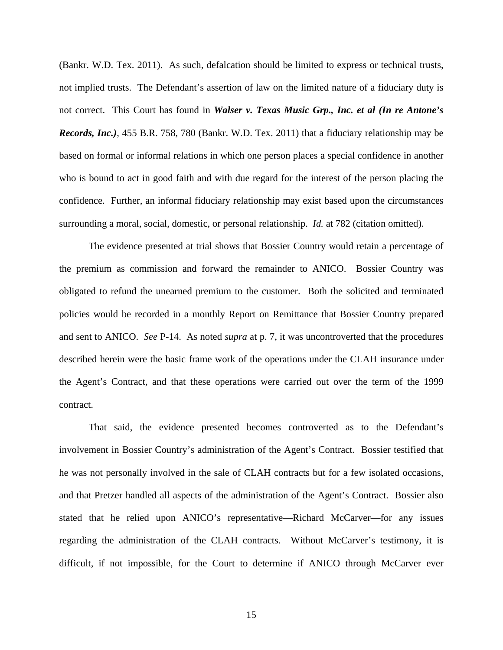(Bankr. W.D. Tex. 2011). As such, defalcation should be limited to express or technical trusts, not implied trusts. The Defendant's assertion of law on the limited nature of a fiduciary duty is not correct. This Court has found in *Walser v. Texas Music Grp., Inc. et al (In re Antone's Records, Inc.)*, 455 B.R. 758, 780 (Bankr. W.D. Tex. 2011) that a fiduciary relationship may be based on formal or informal relations in which one person places a special confidence in another who is bound to act in good faith and with due regard for the interest of the person placing the confidence. Further, an informal fiduciary relationship may exist based upon the circumstances surrounding a moral, social, domestic, or personal relationship. *Id.* at 782 (citation omitted).

The evidence presented at trial shows that Bossier Country would retain a percentage of the premium as commission and forward the remainder to ANICO. Bossier Country was obligated to refund the unearned premium to the customer. Both the solicited and terminated policies would be recorded in a monthly Report on Remittance that Bossier Country prepared and sent to ANICO. *See* P-14. As noted *supra* at p. 7, it was uncontroverted that the procedures described herein were the basic frame work of the operations under the CLAH insurance under the Agent's Contract, and that these operations were carried out over the term of the 1999 contract.

That said, the evidence presented becomes controverted as to the Defendant's involvement in Bossier Country's administration of the Agent's Contract. Bossier testified that he was not personally involved in the sale of CLAH contracts but for a few isolated occasions, and that Pretzer handled all aspects of the administration of the Agent's Contract. Bossier also stated that he relied upon ANICO's representative—Richard McCarver—for any issues regarding the administration of the CLAH contracts. Without McCarver's testimony, it is difficult, if not impossible, for the Court to determine if ANICO through McCarver ever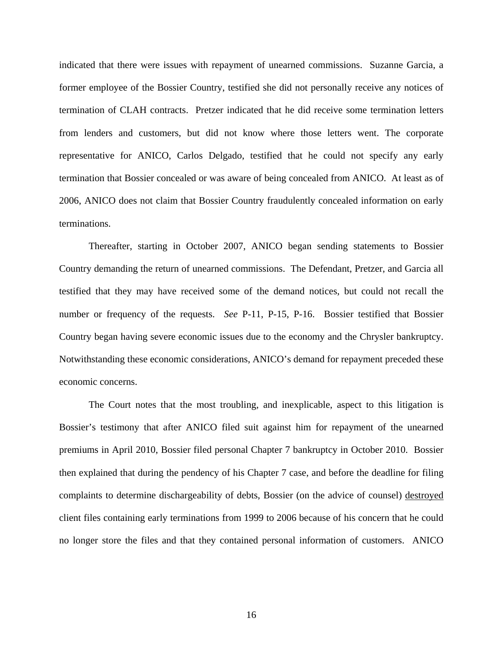indicated that there were issues with repayment of unearned commissions. Suzanne Garcia, a former employee of the Bossier Country, testified she did not personally receive any notices of termination of CLAH contracts. Pretzer indicated that he did receive some termination letters from lenders and customers, but did not know where those letters went. The corporate representative for ANICO, Carlos Delgado, testified that he could not specify any early termination that Bossier concealed or was aware of being concealed from ANICO. At least as of 2006, ANICO does not claim that Bossier Country fraudulently concealed information on early terminations.

Thereafter, starting in October 2007, ANICO began sending statements to Bossier Country demanding the return of unearned commissions. The Defendant, Pretzer, and Garcia all testified that they may have received some of the demand notices, but could not recall the number or frequency of the requests. *See* P-11, P-15, P-16. Bossier testified that Bossier Country began having severe economic issues due to the economy and the Chrysler bankruptcy. Notwithstanding these economic considerations, ANICO's demand for repayment preceded these economic concerns.

The Court notes that the most troubling, and inexplicable, aspect to this litigation is Bossier's testimony that after ANICO filed suit against him for repayment of the unearned premiums in April 2010, Bossier filed personal Chapter 7 bankruptcy in October 2010. Bossier then explained that during the pendency of his Chapter 7 case, and before the deadline for filing complaints to determine dischargeability of debts, Bossier (on the advice of counsel) destroyed client files containing early terminations from 1999 to 2006 because of his concern that he could no longer store the files and that they contained personal information of customers. ANICO